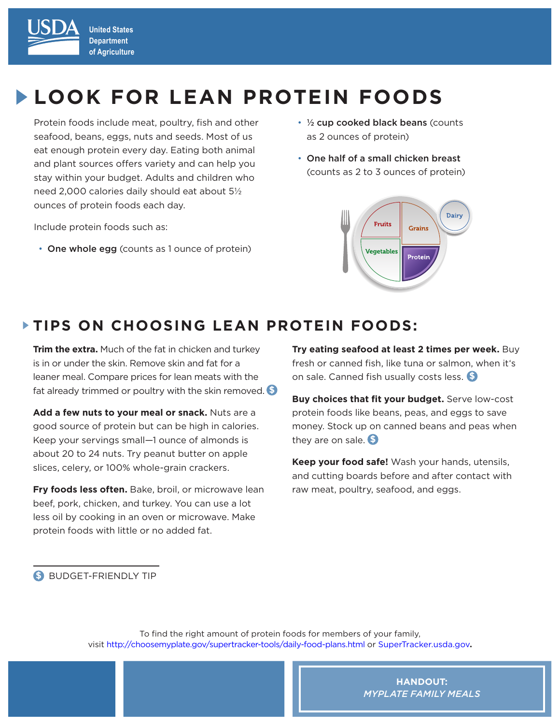

# **LOOK FOR LEAN PROTEIN FOODS**

Protein foods include meat, poultry, fish and other seafood, beans, eggs, nuts and seeds. Most of us eat enough protein every day. Eating both animal and plant sources offers variety and can help you stay within your budget. Adults and children who need 2,000 calories daily should eat about 5½ ounces of protein foods each day.

Include protein foods such as:

• One whole egg (counts as 1 ounce of protein)

- 1/2 cup cooked black beans (counts as 2 ounces of protein)
- One half of a small chicken breast (counts as 2 to 3 ounces of protein)



### **TIPS ON CHOOSING LEAN PROTEIN FOODS:**

**Trim the extra.** Much of the fat in chicken and turkey is in or under the skin. Remove skin and fat for a leaner meal. Compare prices for lean meats with the fat already trimmed or poultry with the skin removed. **\$**

**Add a few nuts to your meal or snack.** Nuts are a good source of protein but can be high in calories. Keep your servings small—1 ounce of almonds is about 20 to 24 nuts. Try peanut butter on apple slices, celery, or 100% whole-grain crackers.

**Fry foods less often.** Bake, broil, or microwave lean beef, pork, chicken, and turkey. You can use a lot less oil by cooking in an oven or microwave. Make protein foods with little or no added fat.

**Try eating seafood at least 2 times per week.** Buy fresh or canned fish, like tuna or salmon, when it's on sale. Canned fish usually costs less. \_\_ **\$**

**Buy choices that fit your budget.** Serve low-cost protein foods like beans, peas, and eggs to save money. Stock up on canned beans and peas when they are on sale. **\$**

**Keep your food safe!** Wash your hands, utensils, and cutting boards before and after contact with raw meat, poultry, seafood, and eggs.

**\$** BUDGET-FRIENDLY TIP

To find the right amount of protein foods for members of your family, visit http://choosemyplate.gov/supertracker-tools/daily-food-plans.html or [SuperTracker.usda.gov](https://www.supertracker.usda.gov/)**.**

> **HANDOUT:** *MYPLATE FAMILY MEALS*